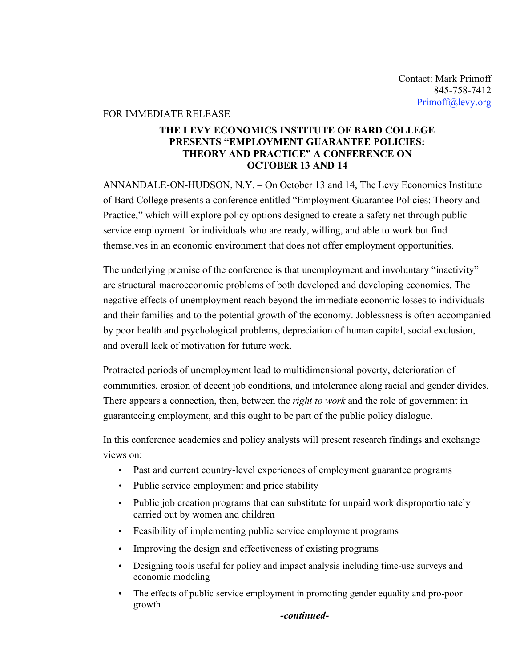### FOR IMMEDIATE RELEASE

# **THE LEVY ECONOMICS INSTITUTE OF BARD COLLEGE PRESENTS "EMPLOYMENT GUARANTEE POLICIES: THEORY AND PRACTICE" A CONFERENCE ON OCTOBER 13 AND 14**

ANNANDALE-ON-HUDSON, N.Y. – On October 13 and 14, The Levy Economics Institute of Bard College presents a conference entitled "Employment Guarantee Policies: Theory and Practice," which will explore policy options designed to create a safety net through public service employment for individuals who are ready, willing, and able to work but find themselves in an economic environment that does not offer employment opportunities.

The underlying premise of the conference is that unemployment and involuntary "inactivity" are structural macroeconomic problems of both developed and developing economies. The negative effects of unemployment reach beyond the immediate economic losses to individuals and their families and to the potential growth of the economy. Joblessness is often accompanied by poor health and psychological problems, depreciation of human capital, social exclusion, and overall lack of motivation for future work.

Protracted periods of unemployment lead to multidimensional poverty, deterioration of communities, erosion of decent job conditions, and intolerance along racial and gender divides. There appears a connection, then, between the *right to work* and the role of government in guaranteeing employment, and this ought to be part of the public policy dialogue.

In this conference academics and policy analysts will present research findings and exchange views on:

- Past and current country-level experiences of employment guarantee programs
- Public service employment and price stability
- Public job creation programs that can substitute for unpaid work disproportionately carried out by women and children
- Feasibility of implementing public service employment programs
- Improving the design and effectiveness of existing programs
- Designing tools useful for policy and impact analysis including time-use surveys and economic modeling
- The effects of public service employment in promoting gender equality and pro-poor growth

*-continued-*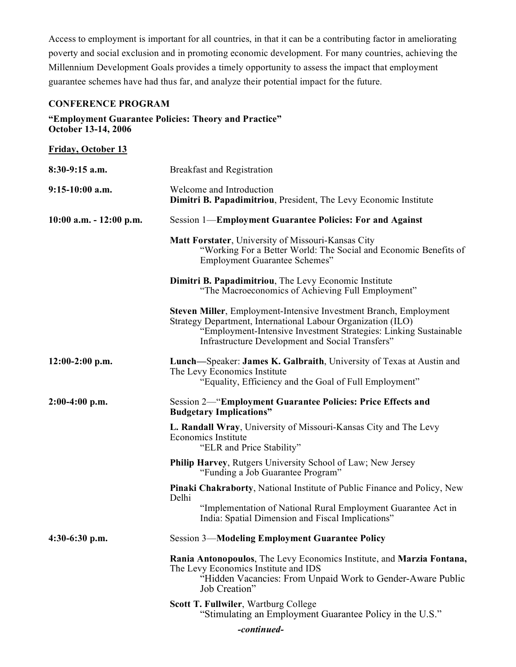Access to employment is important for all countries, in that it can be a contributing factor in ameliorating poverty and social exclusion and in promoting economic development. For many countries, achieving the Millennium Development Goals provides a timely opportunity to assess the impact that employment guarantee schemes have had thus far, and analyze their potential impact for the future.

## **CONFERENCE PROGRAM**

### **"Employment Guarantee Policies: Theory and Practice" October 13-14, 2006**

| <b>Friday, October 13</b>  |                                                                                                                                                                                                                                                           |
|----------------------------|-----------------------------------------------------------------------------------------------------------------------------------------------------------------------------------------------------------------------------------------------------------|
| $8:30-9:15$ a.m.           | <b>Breakfast and Registration</b>                                                                                                                                                                                                                         |
| $9:15-10:00$ a.m.          | Welcome and Introduction<br>Dimitri B. Papadimitriou, President, The Levy Economic Institute                                                                                                                                                              |
| $10:00$ a.m. $-12:00$ p.m. | Session 1—Employment Guarantee Policies: For and Against                                                                                                                                                                                                  |
|                            | Matt Forstater, University of Missouri-Kansas City<br>"Working For a Better World: The Social and Economic Benefits of<br><b>Employment Guarantee Schemes"</b>                                                                                            |
|                            | Dimitri B. Papadimitriou, The Levy Economic Institute<br>"The Macroeconomics of Achieving Full Employment"                                                                                                                                                |
|                            | Steven Miller, Employment-Intensive Investment Branch, Employment<br>Strategy Department, International Labour Organization (ILO)<br>"Employment-Intensive Investment Strategies: Linking Sustainable<br>Infrastructure Development and Social Transfers" |
| $12:00-2:00$ p.m.          | Lunch—Speaker: James K. Galbraith, University of Texas at Austin and<br>The Levy Economics Institute<br>"Equality, Efficiency and the Goal of Full Employment"                                                                                            |
| $2:00-4:00$ p.m.           | <b>Session 2— "Employment Guarantee Policies: Price Effects and</b><br><b>Budgetary Implications"</b>                                                                                                                                                     |
|                            | L. Randall Wray, University of Missouri-Kansas City and The Levy<br>Economics Institute<br>"ELR and Price Stability"                                                                                                                                      |
|                            | Philip Harvey, Rutgers University School of Law; New Jersey<br>"Funding a Job Guarantee Program"                                                                                                                                                          |
|                            | Pinaki Chakraborty, National Institute of Public Finance and Policy, New<br>Delhi<br>"Implementation of National Rural Employment Guarantee Act in<br>India: Spatial Dimension and Fiscal Implications"                                                   |
| $4:30-6:30$ p.m.           | <b>Session 3-Modeling Employment Guarantee Policy</b>                                                                                                                                                                                                     |
|                            | Rania Antonopoulos, The Levy Economics Institute, and Marzia Fontana,<br>The Levy Economics Institute and IDS<br>"Hidden Vacancies: From Unpaid Work to Gender-Aware Public<br>Job Creation"                                                              |
|                            | Scott T. Fullwiler, Wartburg College<br>"Stimulating an Employment Guarantee Policy in the U.S."                                                                                                                                                          |

*-continued-*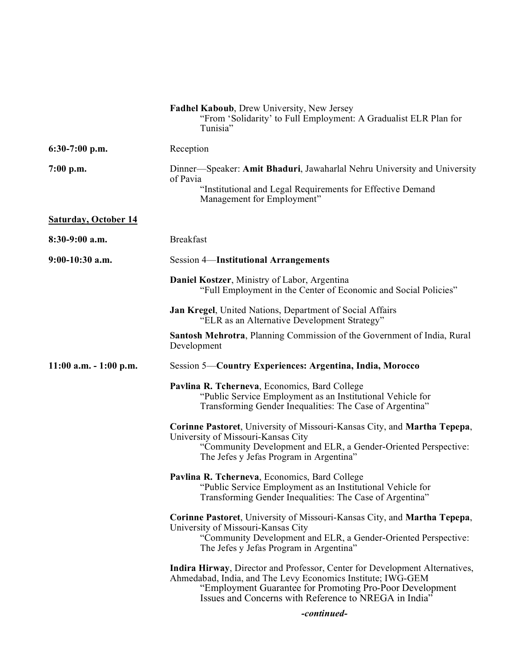|                             | Fadhel Kaboub, Drew University, New Jersey<br>"From 'Solidarity' to Full Employment: A Gradualist ELR Plan for<br>Tunisia"                                                                                                                                                   |
|-----------------------------|------------------------------------------------------------------------------------------------------------------------------------------------------------------------------------------------------------------------------------------------------------------------------|
| $6:30-7:00$ p.m.            | Reception                                                                                                                                                                                                                                                                    |
| $7:00$ p.m.                 | Dinner—Speaker: Amit Bhaduri, Jawaharlal Nehru University and University<br>of Pavia<br>"Institutional and Legal Requirements for Effective Demand<br>Management for Employment"                                                                                             |
| <b>Saturday, October 14</b> |                                                                                                                                                                                                                                                                              |
| $8:30-9:00$ a.m.            | <b>Breakfast</b>                                                                                                                                                                                                                                                             |
| $9:00-10:30$ a.m.           | <b>Session 4-Institutional Arrangements</b>                                                                                                                                                                                                                                  |
|                             | Daniel Kostzer, Ministry of Labor, Argentina<br>"Full Employment in the Center of Economic and Social Policies"                                                                                                                                                              |
|                             | Jan Kregel, United Nations, Department of Social Affairs<br>"ELR as an Alternative Development Strategy"                                                                                                                                                                     |
|                             | Santosh Mehrotra, Planning Commission of the Government of India, Rural<br>Development                                                                                                                                                                                       |
| $11:00$ a.m. $-1:00$ p.m.   | Session 5—Country Experiences: Argentina, India, Morocco                                                                                                                                                                                                                     |
|                             | Pavlina R. Tcherneva, Economics, Bard College<br>"Public Service Employment as an Institutional Vehicle for<br>Transforming Gender Inequalities: The Case of Argentina"                                                                                                      |
|                             | Corinne Pastoret, University of Missouri-Kansas City, and Martha Tepepa,<br>University of Missouri-Kansas City<br>"Community Development and ELR, a Gender-Oriented Perspective:<br>The Jefes y Jefas Program in Argentina"                                                  |
|                             | Pavlina R. Tcherneva, Economics, Bard College<br>"Public Service Employment as an Institutional Vehicle for<br>Transforming Gender Inequalities: The Case of Argentina"                                                                                                      |
|                             | Corinne Pastoret, University of Missouri-Kansas City, and Martha Tepepa,<br>University of Missouri-Kansas City<br>"Community Development and ELR, a Gender-Oriented Perspective:<br>The Jefes y Jefas Program in Argentina"                                                  |
|                             | Indira Hirway, Director and Professor, Center for Development Alternatives,<br>Ahmedabad, India, and The Levy Economics Institute; IWG-GEM<br>"Employment Guarantee for Promoting Pro-Poor Development<br>Issues and Concerns with Reference to NREGA in India <sup>27</sup> |
|                             | -continued-                                                                                                                                                                                                                                                                  |